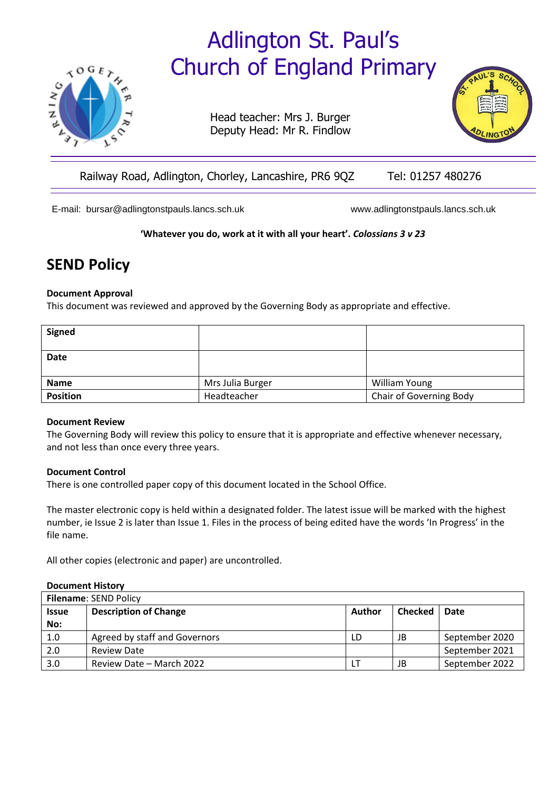# Adlington St. Paul's Church of England Primary



Head teacher: Mrs J. Burger Deputy Head: Mr R. Findlow



# Railway Road, Adlington, Chorley, Lancashire, PR6 9QZ Tel: 01257 480276

E-mail: [bursar@adlingtonstpauls.lancs.sch.uk](mailto:bursar@adlingtonstpauls.lancs.sch.uk) [www.adlingtonstpauls.lancs.sch.uk](http://www.adlingtonstpauls.lancs.sch.uk/)

**'Whatever you do, work at it with all your heart'.** *Colossians 3 v 23*

# **SEND Policy**

#### **Document Approval**

This document was reviewed and approved by the Governing Body as appropriate and effective.

| <b>Signed</b>   |                  |                         |  |
|-----------------|------------------|-------------------------|--|
| Date            |                  |                         |  |
| <b>Name</b>     | Mrs Julia Burger | William Young           |  |
| <b>Position</b> | Headteacher      | Chair of Governing Body |  |

#### **Document Review**

The Governing Body will review this policy to ensure that it is appropriate and effective whenever necessary, and not less than once every three years.

#### **Document Control**

There is one controlled paper copy of this document located in the School Office.

The master electronic copy is held within a designated folder. The latest issue will be marked with the highest number, ie Issue 2 is later than Issue 1. Files in the process of being edited have the words 'In Progress' in the file name.

All other copies (electronic and paper) are uncontrolled.

#### **Document History**

| <b>Filename: SEND Policy</b> |                               |        |                |                |  |
|------------------------------|-------------------------------|--------|----------------|----------------|--|
| <b>Issue</b>                 | <b>Description of Change</b>  | Author | <b>Checked</b> | Date           |  |
| No:                          |                               |        |                |                |  |
| 1.0                          | Agreed by staff and Governors | LD     | JB             | September 2020 |  |
| 2.0                          | Review Date                   |        |                | September 2021 |  |
| 3.0                          | Review Date - March 2022      |        | JB             | September 2022 |  |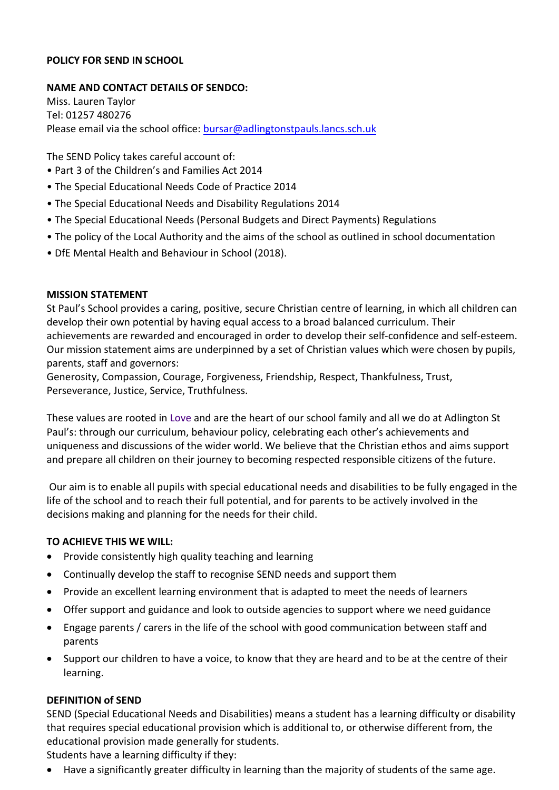#### **POLICY FOR SEND IN SCHOOL**

#### **NAME AND CONTACT DETAILS OF SENDCO:**

Miss. Lauren Taylor Tel: 01257 480276 Please email via the school office: [bursar@adlingtonstpauls.lancs.sch.uk](mailto:bursar@adlingtonstpauls.lancs.sch.uk)

The SEND Policy takes careful account of:

- Part 3 of the Children's and Families Act 2014
- The Special Educational Needs Code of Practice 2014
- The Special Educational Needs and Disability Regulations 2014
- The Special Educational Needs (Personal Budgets and Direct Payments) Regulations
- The policy of the Local Authority and the aims of the school as outlined in school documentation
- DfE Mental Health and Behaviour in School (2018).

#### **MISSION STATEMENT**

St Paul's School provides a caring, positive, secure Christian centre of learning, in which all children can develop their own potential by having equal access to a broad balanced curriculum. Their achievements are rewarded and encouraged in order to develop their self-confidence and self-esteem. Our mission statement aims are underpinned by a set of Christian values which were chosen by pupils, parents, staff and governors:

Generosity, Compassion, Courage, Forgiveness, Friendship, Respect, Thankfulness, Trust, Perseverance, Justice, Service, Truthfulness.

These values are rooted in Love and are the heart of our school family and all we do at Adlington St Paul's: through our curriculum, behaviour policy, celebrating each other's achievements and uniqueness and discussions of the wider world. We believe that the Christian ethos and aims support and prepare all children on their journey to becoming respected responsible citizens of the future.

Our aim is to enable all pupils with special educational needs and disabilities to be fully engaged in the life of the school and to reach their full potential, and for parents to be actively involved in the decisions making and planning for the needs for their child.

#### **TO ACHIEVE THIS WE WILL:**

- Provide consistently high quality teaching and learning
- Continually develop the staff to recognise SEND needs and support them
- Provide an excellent learning environment that is adapted to meet the needs of learners
- Offer support and guidance and look to outside agencies to support where we need guidance
- Engage parents / carers in the life of the school with good communication between staff and parents
- Support our children to have a voice, to know that they are heard and to be at the centre of their learning.

#### **DEFINITION of SEND**

SEND (Special Educational Needs and Disabilities) means a student has a learning difficulty or disability that requires special educational provision which is additional to, or otherwise different from, the educational provision made generally for students.

Students have a learning difficulty if they:

• Have a significantly greater difficulty in learning than the majority of students of the same age.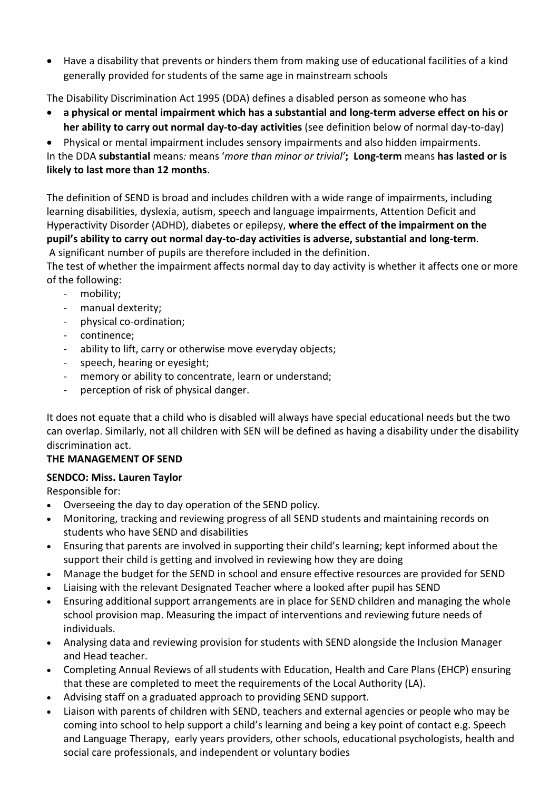• Have a disability that prevents or hinders them from making use of educational facilities of a kind generally provided for students of the same age in mainstream schools

The Disability Discrimination Act 1995 (DDA) defines a disabled person as someone who has

• **a physical or mental impairment which has a substantial and long-term adverse effect on his or her ability to carry out normal day-to-day activities** (see definition below of normal day-to-day)

• Physical or mental impairment includes sensory impairments and also hidden impairments. In the DDA **substantial** means*:* means '*more than minor or trivial'***; Long-term** means **has lasted or is likely to last more than 12 months**.

The definition of SEND is broad and includes children with a wide range of impairments, including learning disabilities, dyslexia, autism, speech and language impairments, Attention Deficit and Hyperactivity Disorder (ADHD), diabetes or epilepsy, **where the effect of the impairment on the pupil's ability to carry out normal day-to-day activities is adverse, substantial and long-term**. A significant number of pupils are therefore included in the definition.

The test of whether the impairment affects normal day to day activity is whether it affects one or more of the following:

- mobility;
- manual dexterity;
- physical co-ordination;
- continence;
- ability to lift, carry or otherwise move everyday objects;
- speech, hearing or eyesight;
- memory or ability to concentrate, learn or understand:
- perception of risk of physical danger.

It does not equate that a child who is disabled will always have special educational needs but the two can overlap. Similarly, not all children with SEN will be defined as having a disability under the disability discrimination act.

# **THE MANAGEMENT OF SEND**

# **SENDCO: Miss. Lauren Taylor**

Responsible for:

- Overseeing the day to day operation of the SEND policy.
- Monitoring, tracking and reviewing progress of all SEND students and maintaining records on students who have SEND and disabilities
- Ensuring that parents are involved in supporting their child's learning; kept informed about the support their child is getting and involved in reviewing how they are doing
- Manage the budget for the SEND in school and ensure effective resources are provided for SEND
- Liaising with the relevant Designated Teacher where a looked after pupil has SEND
- Ensuring additional support arrangements are in place for SEND children and managing the whole school provision map. Measuring the impact of interventions and reviewing future needs of individuals.
- Analysing data and reviewing provision for students with SEND alongside the Inclusion Manager and Head teacher.
- Completing Annual Reviews of all students with Education, Health and Care Plans (EHCP) ensuring that these are completed to meet the requirements of the Local Authority (LA).
- Advising staff on a graduated approach to providing SEND support.
- Liaison with parents of children with SEND, teachers and external agencies or people who may be coming into school to help support a child's learning and being a key point of contact e.g. Speech and Language Therapy, early years providers, other schools, educational psychologists, health and social care professionals, and independent or voluntary bodies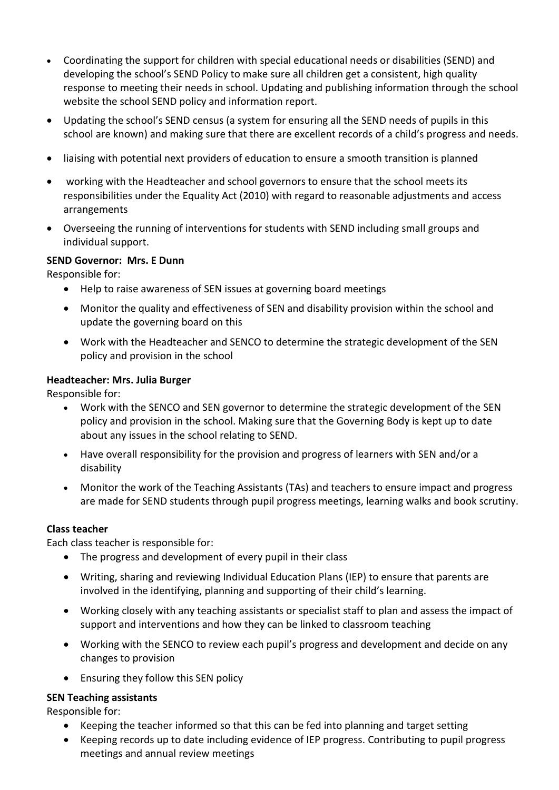- Coordinating the support for children with special educational needs or disabilities (SEND) and developing the school's SEND Policy to make sure all children get a consistent, high quality response to meeting their needs in school. Updating and publishing information through the school website the school SEND policy and information report.
- Updating the school's SEND census (a system for ensuring all the SEND needs of pupils in this school are known) and making sure that there are excellent records of a child's progress and needs.
- liaising with potential next providers of education to ensure a smooth transition is planned
- working with the Headteacher and school governors to ensure that the school meets its responsibilities under the Equality Act (2010) with regard to reasonable adjustments and access arrangements
- Overseeing the running of interventions for students with SEND including small groups and individual support.

#### **SEND Governor: Mrs. E Dunn**

Responsible for:

- Help to raise awareness of SEN issues at governing board meetings
- Monitor the quality and effectiveness of SEN and disability provision within the school and update the governing board on this
- Work with the Headteacher and SENCO to determine the strategic development of the SEN policy and provision in the school

#### **Headteacher: Mrs. Julia Burger**

Responsible for:

- Work with the SENCO and SEN governor to determine the strategic development of the SEN policy and provision in the school. Making sure that the Governing Body is kept up to date about any issues in the school relating to SEND.
- Have overall responsibility for the provision and progress of learners with SEN and/or a disability
- Monitor the work of the Teaching Assistants (TAs) and teachers to ensure impact and progress are made for SEND students through pupil progress meetings, learning walks and book scrutiny.

# **Class teacher**

Each class teacher is responsible for:

- The progress and development of every pupil in their class
- Writing, sharing and reviewing Individual Education Plans (IEP) to ensure that parents are involved in the identifying, planning and supporting of their child's learning.
- Working closely with any teaching assistants or specialist staff to plan and assess the impact of support and interventions and how they can be linked to classroom teaching
- Working with the SENCO to review each pupil's progress and development and decide on any changes to provision
- Ensuring they follow this SEN policy

# **SEN Teaching assistants**

Responsible for:

- Keeping the teacher informed so that this can be fed into planning and target setting
- Keeping records up to date including evidence of IEP progress. Contributing to pupil progress meetings and annual review meetings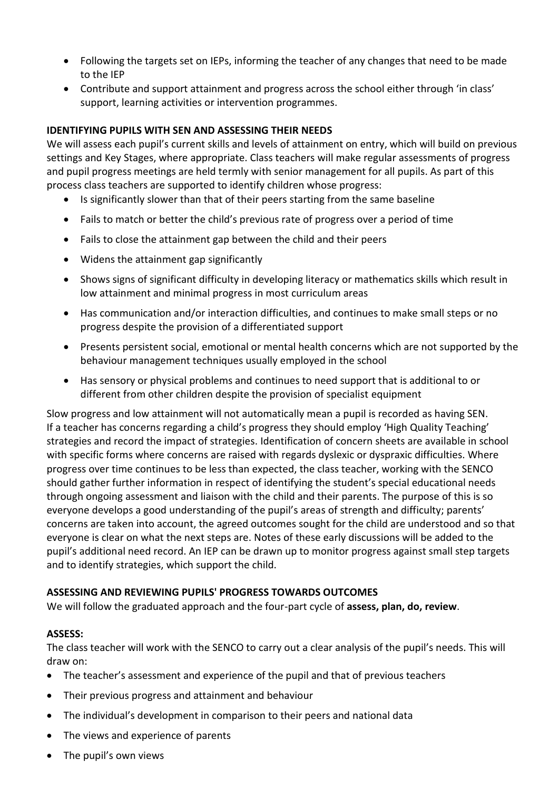- Following the targets set on IEPs, informing the teacher of any changes that need to be made to the IEP
- Contribute and support attainment and progress across the school either through 'in class' support, learning activities or intervention programmes.

# **IDENTIFYING PUPILS WITH SEN AND ASSESSING THEIR NEEDS**

We will assess each pupil's current skills and levels of attainment on entry, which will build on previous settings and Key Stages, where appropriate. Class teachers will make regular assessments of progress and pupil progress meetings are held termly with senior management for all pupils. As part of this process class teachers are supported to identify children whose progress:

- Is significantly slower than that of their peers starting from the same baseline
- Fails to match or better the child's previous rate of progress over a period of time
- Fails to close the attainment gap between the child and their peers
- Widens the attainment gap significantly
- Shows signs of significant difficulty in developing literacy or mathematics skills which result in low attainment and minimal progress in most curriculum areas
- Has communication and/or interaction difficulties, and continues to make small steps or no progress despite the provision of a differentiated support
- Presents persistent social, emotional or mental health concerns which are not supported by the behaviour management techniques usually employed in the school
- Has sensory or physical problems and continues to need support that is additional to or different from other children despite the provision of specialist equipment

Slow progress and low attainment will not automatically mean a pupil is recorded as having SEN. If a teacher has concerns regarding a child's progress they should employ 'High Quality Teaching' strategies and record the impact of strategies. Identification of concern sheets are available in school with specific forms where concerns are raised with regards dyslexic or dyspraxic difficulties. Where progress over time continues to be less than expected, the class teacher, working with the SENCO should gather further information in respect of identifying the student's special educational needs through ongoing assessment and liaison with the child and their parents. The purpose of this is so everyone develops a good understanding of the pupil's areas of strength and difficulty; parents' concerns are taken into account, the agreed outcomes sought for the child are understood and so that everyone is clear on what the next steps are. Notes of these early discussions will be added to the pupil's additional need record. An IEP can be drawn up to monitor progress against small step targets and to identify strategies, which support the child.

# **ASSESSING AND REVIEWING PUPILS' PROGRESS TOWARDS OUTCOMES**

We will follow the graduated approach and the four-part cycle of **assess, plan, do, review**.

# **ASSESS:**

The class teacher will work with the SENCO to carry out a clear analysis of the pupil's needs. This will draw on:

- The teacher's assessment and experience of the pupil and that of previous teachers
- Their previous progress and attainment and behaviour
- The individual's development in comparison to their peers and national data
- The views and experience of parents
- The pupil's own views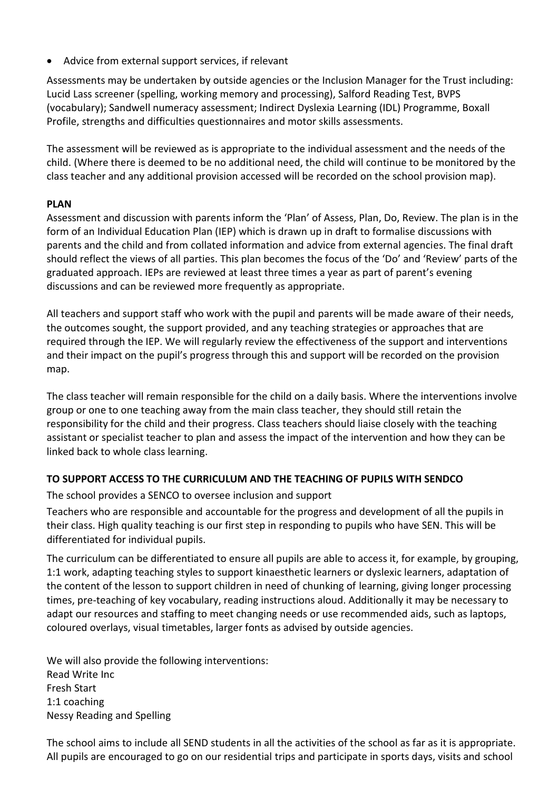• Advice from external support services, if relevant

Assessments may be undertaken by outside agencies or the Inclusion Manager for the Trust including: Lucid Lass screener (spelling, working memory and processing), Salford Reading Test, BVPS (vocabulary); Sandwell numeracy assessment; Indirect Dyslexia Learning (IDL) Programme, Boxall Profile, strengths and difficulties questionnaires and motor skills assessments.

The assessment will be reviewed as is appropriate to the individual assessment and the needs of the child. (Where there is deemed to be no additional need, the child will continue to be monitored by the class teacher and any additional provision accessed will be recorded on the school provision map).

# **PLAN**

Assessment and discussion with parents inform the 'Plan' of Assess, Plan, Do, Review. The plan is in the form of an Individual Education Plan (IEP) which is drawn up in draft to formalise discussions with parents and the child and from collated information and advice from external agencies. The final draft should reflect the views of all parties. This plan becomes the focus of the 'Do' and 'Review' parts of the graduated approach. IEPs are reviewed at least three times a year as part of parent's evening discussions and can be reviewed more frequently as appropriate.

All teachers and support staff who work with the pupil and parents will be made aware of their needs, the outcomes sought, the support provided, and any teaching strategies or approaches that are required through the IEP. We will regularly review the effectiveness of the support and interventions and their impact on the pupil's progress through this and support will be recorded on the provision map.

The class teacher will remain responsible for the child on a daily basis. Where the interventions involve group or one to one teaching away from the main class teacher, they should still retain the responsibility for the child and their progress. Class teachers should liaise closely with the teaching assistant or specialist teacher to plan and assess the impact of the intervention and how they can be linked back to whole class learning.

# **TO SUPPORT ACCESS TO THE CURRICULUM AND THE TEACHING OF PUPILS WITH SENDCO**

The school provides a SENCO to oversee inclusion and support

Teachers who are responsible and accountable for the progress and development of all the pupils in their class. High quality teaching is our first step in responding to pupils who have SEN. This will be differentiated for individual pupils.

The curriculum can be differentiated to ensure all pupils are able to access it, for example, by grouping, 1:1 work, adapting teaching styles to support kinaesthetic learners or dyslexic learners, adaptation of the content of the lesson to support children in need of chunking of learning, giving longer processing times, pre-teaching of key vocabulary, reading instructions aloud. Additionally it may be necessary to adapt our resources and staffing to meet changing needs or use recommended aids, such as laptops, coloured overlays, visual timetables, larger fonts as advised by outside agencies.

We will also provide the following interventions: Read Write Inc Fresh Start 1:1 coaching Nessy Reading and Spelling

The school aims to include all SEND students in all the activities of the school as far as it is appropriate. All pupils are encouraged to go on our residential trips and participate in sports days, visits and school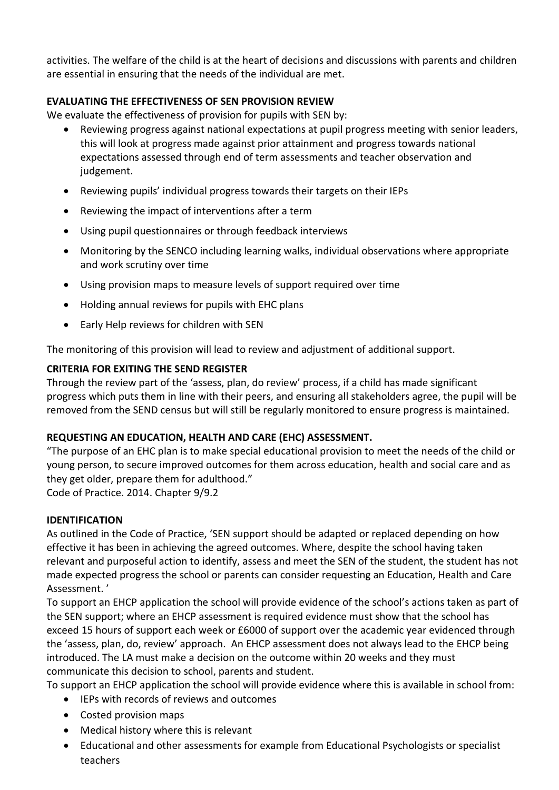activities. The welfare of the child is at the heart of decisions and discussions with parents and children are essential in ensuring that the needs of the individual are met.

# **EVALUATING THE EFFECTIVENESS OF SEN PROVISION REVIEW**

We evaluate the effectiveness of provision for pupils with SEN by:

- Reviewing progress against national expectations at pupil progress meeting with senior leaders, this will look at progress made against prior attainment and progress towards national expectations assessed through end of term assessments and teacher observation and judgement.
- Reviewing pupils' individual progress towards their targets on their IEPs
- Reviewing the impact of interventions after a term
- Using pupil questionnaires or through feedback interviews
- Monitoring by the SENCO including learning walks, individual observations where appropriate and work scrutiny over time
- Using provision maps to measure levels of support required over time
- Holding annual reviews for pupils with EHC plans
- Early Help reviews for children with SEN

The monitoring of this provision will lead to review and adjustment of additional support.

# **CRITERIA FOR EXITING THE SEND REGISTER**

Through the review part of the 'assess, plan, do review' process, if a child has made significant progress which puts them in line with their peers, and ensuring all stakeholders agree, the pupil will be removed from the SEND census but will still be regularly monitored to ensure progress is maintained.

# **REQUESTING AN EDUCATION, HEALTH AND CARE (EHC) ASSESSMENT.**

"The purpose of an EHC plan is to make special educational provision to meet the needs of the child or young person, to secure improved outcomes for them across education, health and social care and as they get older, prepare them for adulthood."

Code of Practice. 2014. Chapter 9/9.2

#### **IDENTIFICATION**

As outlined in the Code of Practice, 'SEN support should be adapted or replaced depending on how effective it has been in achieving the agreed outcomes. Where, despite the school having taken relevant and purposeful action to identify, assess and meet the SEN of the student, the student has not made expected progress the school or parents can consider requesting an Education, Health and Care Assessment. '

To support an EHCP application the school will provide evidence of the school's actions taken as part of the SEN support; where an EHCP assessment is required evidence must show that the school has exceed 15 hours of support each week or £6000 of support over the academic year evidenced through the 'assess, plan, do, review' approach. An EHCP assessment does not always lead to the EHCP being introduced. The LA must make a decision on the outcome within 20 weeks and they must communicate this decision to school, parents and student.

To support an EHCP application the school will provide evidence where this is available in school from:

- IEPs with records of reviews and outcomes
- Costed provision maps
- Medical history where this is relevant
- Educational and other assessments for example from Educational Psychologists or specialist teachers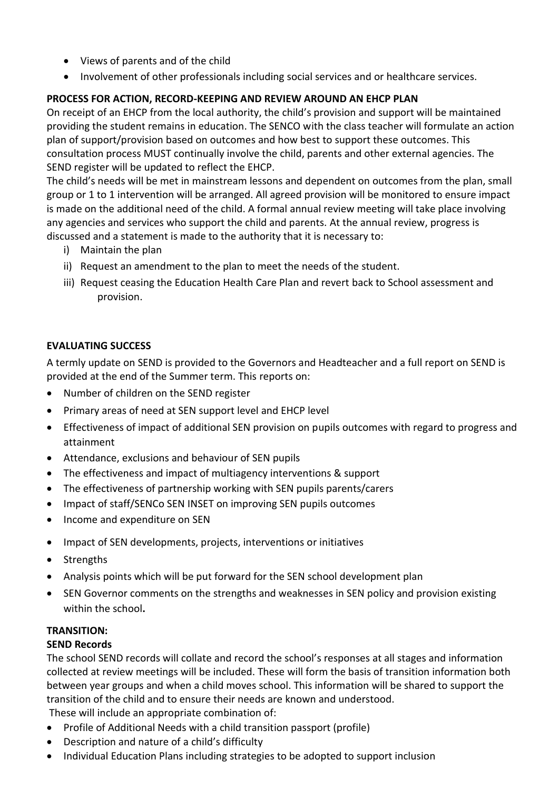- Views of parents and of the child
- Involvement of other professionals including social services and or healthcare services.

# **PROCESS FOR ACTION, RECORD-KEEPING AND REVIEW AROUND AN EHCP PLAN**

On receipt of an EHCP from the local authority, the child's provision and support will be maintained providing the student remains in education. The SENCO with the class teacher will formulate an action plan of support/provision based on outcomes and how best to support these outcomes. This consultation process MUST continually involve the child, parents and other external agencies. The SEND register will be updated to reflect the EHCP.

The child's needs will be met in mainstream lessons and dependent on outcomes from the plan, small group or 1 to 1 intervention will be arranged. All agreed provision will be monitored to ensure impact is made on the additional need of the child. A formal annual review meeting will take place involving any agencies and services who support the child and parents. At the annual review, progress is discussed and a statement is made to the authority that it is necessary to:

- i) Maintain the plan
- ii) Request an amendment to the plan to meet the needs of the student.
- iii) Request ceasing the Education Health Care Plan and revert back to School assessment and provision.

# **EVALUATING SUCCESS**

A termly update on SEND is provided to the Governors and Headteacher and a full report on SEND is provided at the end of the Summer term. This reports on:

- Number of children on the SEND register
- Primary areas of need at SEN support level and EHCP level
- Effectiveness of impact of additional SEN provision on pupils outcomes with regard to progress and attainment
- Attendance, exclusions and behaviour of SEN pupils
- The effectiveness and impact of multiagency interventions & support
- The effectiveness of partnership working with SEN pupils parents/carers
- Impact of staff/SENCo SEN INSET on improving SEN pupils outcomes
- Income and expenditure on SEN
- Impact of SEN developments, projects, interventions or initiatives
- Strengths
- Analysis points which will be put forward for the SEN school development plan
- SEN Governor comments on the strengths and weaknesses in SEN policy and provision existing within the school**.**

# **TRANSITION:**

# **SEND Records**

The school SEND records will collate and record the school's responses at all stages and information collected at review meetings will be included. These will form the basis of transition information both between year groups and when a child moves school. This information will be shared to support the transition of the child and to ensure their needs are known and understood.

These will include an appropriate combination of:

- Profile of Additional Needs with a child transition passport (profile)
- Description and nature of a child's difficulty
- Individual Education Plans including strategies to be adopted to support inclusion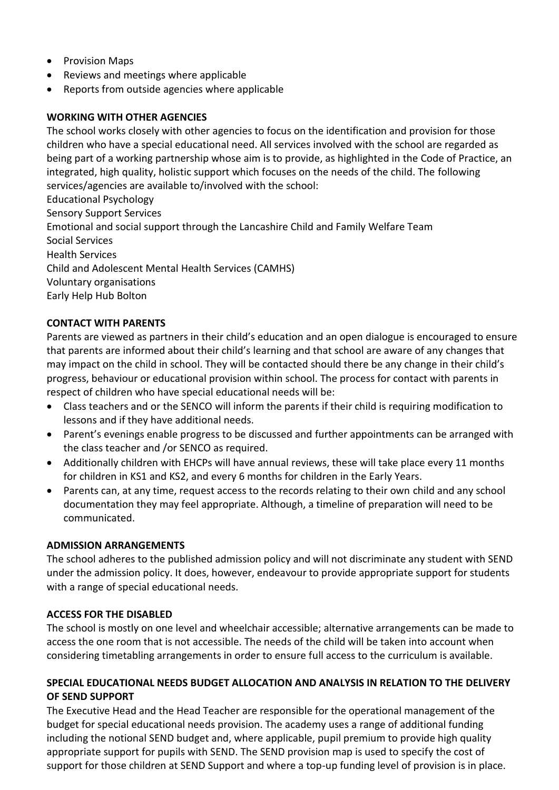- Provision Maps
- Reviews and meetings where applicable
- Reports from outside agencies where applicable

# **WORKING WITH OTHER AGENCIES**

The school works closely with other agencies to focus on the identification and provision for those children who have a special educational need. All services involved with the school are regarded as being part of a working partnership whose aim is to provide, as highlighted in the Code of Practice, an integrated, high quality, holistic support which focuses on the needs of the child. The following services/agencies are available to/involved with the school:

Educational Psychology Sensory Support Services Emotional and social support through the Lancashire Child and Family Welfare Team Social Services Health Services Child and Adolescent Mental Health Services (CAMHS) Voluntary organisations Early Help Hub Bolton

# **CONTACT WITH PARENTS**

Parents are viewed as partners in their child's education and an open dialogue is encouraged to ensure that parents are informed about their child's learning and that school are aware of any changes that may impact on the child in school. They will be contacted should there be any change in their child's progress, behaviour or educational provision within school. The process for contact with parents in respect of children who have special educational needs will be:

- Class teachers and or the SENCO will inform the parents if their child is requiring modification to lessons and if they have additional needs.
- Parent's evenings enable progress to be discussed and further appointments can be arranged with the class teacher and /or SENCO as required.
- Additionally children with EHCPs will have annual reviews, these will take place every 11 months for children in KS1 and KS2, and every 6 months for children in the Early Years.
- Parents can, at any time, request access to the records relating to their own child and any school documentation they may feel appropriate. Although, a timeline of preparation will need to be communicated.

#### **ADMISSION ARRANGEMENTS**

The school adheres to the published admission policy and will not discriminate any student with SEND under the admission policy. It does, however, endeavour to provide appropriate support for students with a range of special educational needs.

# **ACCESS FOR THE DISABLED**

The school is mostly on one level and wheelchair accessible; alternative arrangements can be made to access the one room that is not accessible. The needs of the child will be taken into account when considering timetabling arrangements in order to ensure full access to the curriculum is available.

#### **SPECIAL EDUCATIONAL NEEDS BUDGET ALLOCATION AND ANALYSIS IN RELATION TO THE DELIVERY OF SEND SUPPORT**

The Executive Head and the Head Teacher are responsible for the operational management of the budget for special educational needs provision. The academy uses a range of additional funding including the notional SEND budget and, where applicable, pupil premium to provide high quality appropriate support for pupils with SEND. The SEND provision map is used to specify the cost of support for those children at SEND Support and where a top-up funding level of provision is in place.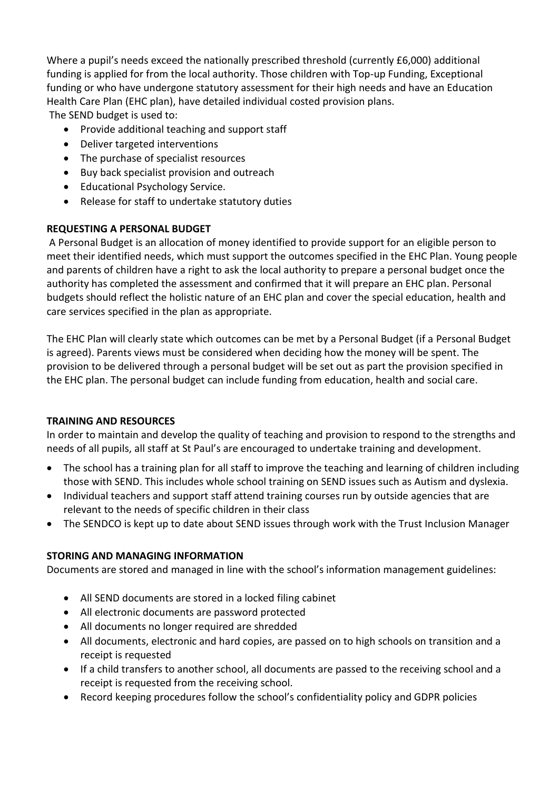Where a pupil's needs exceed the nationally prescribed threshold (currently £6,000) additional funding is applied for from the local authority. Those children with Top-up Funding, Exceptional funding or who have undergone statutory assessment for their high needs and have an Education Health Care Plan (EHC plan), have detailed individual costed provision plans. The SEND budget is used to:

- Provide additional teaching and support staff
- Deliver targeted interventions
- The purchase of specialist resources
- Buy back specialist provision and outreach
- Educational Psychology Service.
- Release for staff to undertake statutory duties

# **REQUESTING A PERSONAL BUDGET**

A Personal Budget is an allocation of money identified to provide support for an eligible person to meet their identified needs, which must support the outcomes specified in the EHC Plan. Young people and parents of children have a right to ask the local authority to prepare a personal budget once the authority has completed the assessment and confirmed that it will prepare an EHC plan. Personal budgets should reflect the holistic nature of an EHC plan and cover the special education, health and care services specified in the plan as appropriate.

The EHC Plan will clearly state which outcomes can be met by a Personal Budget (if a Personal Budget is agreed). Parents views must be considered when deciding how the money will be spent. The provision to be delivered through a personal budget will be set out as part the provision specified in the EHC plan. The personal budget can include funding from education, health and social care.

# **TRAINING AND RESOURCES**

In order to maintain and develop the quality of teaching and provision to respond to the strengths and needs of all pupils, all staff at St Paul's are encouraged to undertake training and development.

- The school has a training plan for all staff to improve the teaching and learning of children including those with SEND. This includes whole school training on SEND issues such as Autism and dyslexia.
- Individual teachers and support staff attend training courses run by outside agencies that are relevant to the needs of specific children in their class
- The SENDCO is kept up to date about SEND issues through work with the Trust Inclusion Manager

# **STORING AND MANAGING INFORMATION**

Documents are stored and managed in line with the school's information management guidelines:

- All SEND documents are stored in a locked filing cabinet
- All electronic documents are password protected
- All documents no longer required are shredded
- All documents, electronic and hard copies, are passed on to high schools on transition and a receipt is requested
- If a child transfers to another school, all documents are passed to the receiving school and a receipt is requested from the receiving school.
- Record keeping procedures follow the school's confidentiality policy and GDPR policies